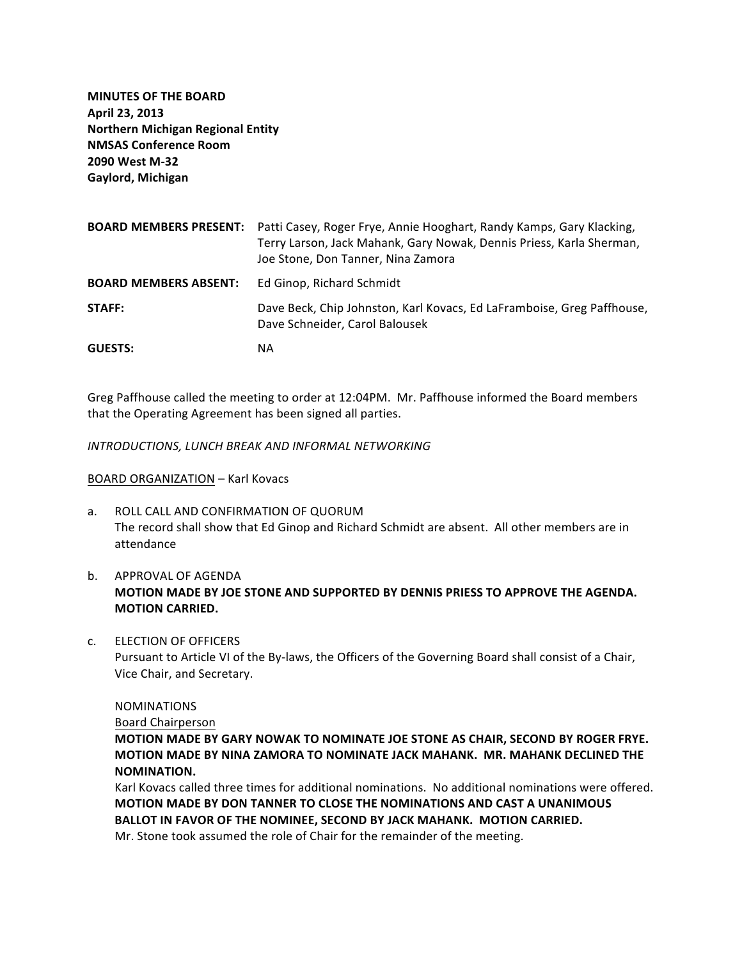**MINUTES OF THE BOARD April 23, 2013 Northern Michigan Regional Entity NMSAS Conference Room 2090 West M-32 Gaylord, Michigan**

| <b>BOARD MEMBERS PRESENT:</b> | Patti Casey, Roger Frye, Annie Hooghart, Randy Kamps, Gary Klacking,<br>Terry Larson, Jack Mahank, Gary Nowak, Dennis Priess, Karla Sherman,<br>Joe Stone, Don Tanner, Nina Zamora |
|-------------------------------|------------------------------------------------------------------------------------------------------------------------------------------------------------------------------------|
| <b>BOARD MEMBERS ABSENT:</b>  | Ed Ginop, Richard Schmidt                                                                                                                                                          |
| STAFF:                        | Dave Beck, Chip Johnston, Karl Kovacs, Ed LaFramboise, Greg Paffhouse,<br>Dave Schneider, Carol Balousek                                                                           |
| <b>GUESTS:</b>                | ΝA                                                                                                                                                                                 |

Greg Paffhouse called the meeting to order at 12:04PM. Mr. Paffhouse informed the Board members that the Operating Agreement has been signed all parties.

**INTRODUCTIONS, LUNCH BREAK AND INFORMAL NETWORKING** 

#### BOARD ORGANIZATION - Karl Kovacs

- a. ROLL CALL AND CONFIRMATION OF QUORUM The record shall show that Ed Ginop and Richard Schmidt are absent. All other members are in attendance
- b. APPROVAL OF AGFNDA **MOTION MADE BY JOE STONE AND SUPPORTED BY DENNIS PRIESS TO APPROVE THE AGENDA. MOTION CARRIED.**
- c. ELECTION OF OFFICERS

Pursuant to Article VI of the By-laws, the Officers of the Governing Board shall consist of a Chair, Vice Chair, and Secretary.

## NOMINATIONS

Board Chairperson

**MOTION MADE BY GARY NOWAK TO NOMINATE JOE STONE AS CHAIR, SECOND BY ROGER FRYE. MOTION MADE BY NINA ZAMORA TO NOMINATE JACK MAHANK. MR. MAHANK DECLINED THE NOMINATION.** 

Karl Kovacs called three times for additional nominations. No additional nominations were offered. **MOTION MADE BY DON TANNER TO CLOSE THE NOMINATIONS AND CAST A UNANIMOUS BALLOT IN FAVOR OF THE NOMINEE, SECOND BY JACK MAHANK. MOTION CARRIED.** Mr. Stone took assumed the role of Chair for the remainder of the meeting.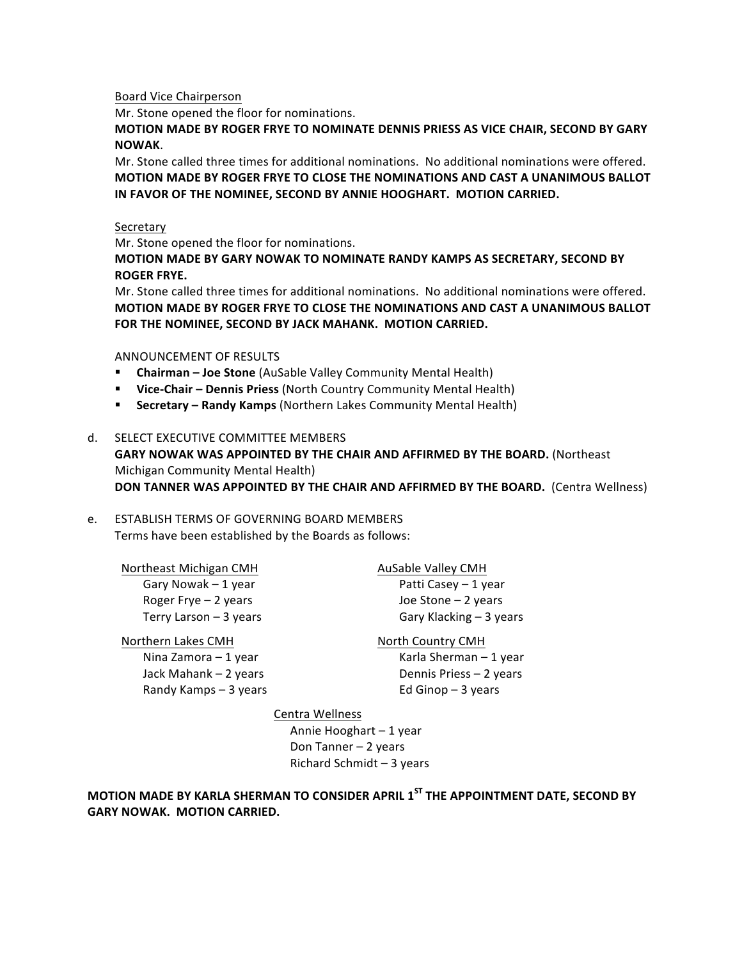Board Vice Chairperson

Mr. Stone opened the floor for nominations.

**MOTION MADE BY ROGER FRYE TO NOMINATE DENNIS PRIESS AS VICE CHAIR, SECOND BY GARY NOWAK**. 

Mr. Stone called three times for additional nominations. No additional nominations were offered. **MOTION MADE BY ROGER FRYE TO CLOSE THE NOMINATIONS AND CAST A UNANIMOUS BALLOT IN FAVOR OF THE NOMINEE, SECOND BY ANNIE HOOGHART. MOTION CARRIED.** 

#### Secretary

Mr. Stone opened the floor for nominations.

**MOTION MADE BY GARY NOWAK TO NOMINATE RANDY KAMPS AS SECRETARY, SECOND BY ROGER FRYE.** 

Mr. Stone called three times for additional nominations. No additional nominations were offered. **MOTION MADE BY ROGER FRYE TO CLOSE THE NOMINATIONS AND CAST A UNANIMOUS BALLOT** FOR THE NOMINEE, SECOND BY JACK MAHANK. MOTION CARRIED.

ANNOUNCEMENT OF RESULTS

- **E** Chairman Joe Stone (AuSable Valley Community Mental Health)
- Vice-Chair Dennis Priess (North Country Community Mental Health)
- **E** Secretary Randy Kamps (Northern Lakes Community Mental Health)

#### d. SELECT EXECUTIVE COMMITTEE MEMBERS

**GARY NOWAK WAS APPOINTED BY THE CHAIR AND AFFIRMED BY THE BOARD.** (Northeast) Michigan Community Mental Health) **DON TANNER WAS APPOINTED BY THE CHAIR AND AFFIRMED BY THE BOARD.** (Centra Wellness)

## e. ESTABLISH TERMS OF GOVERNING BOARD MEMBERS Terms have been established by the Boards as follows:

Northeast Michigan CMH AuSable Valley CMH

Nina Zamora – 1 year Karla Sherman – 1 year Randy Kamps  $-3$  years Ed Ginop  $-3$  years

Gary Nowak – 1 year **Patti** Casey – 1 year Roger Frye  $-2$  years  $\qquad \qquad$  Joe Stone  $-2$  years  $Terry$  Larson  $-3$  years  $Gary$  Klacking  $-3$  years

# Northern Lakes CMH North Country CMH

Jack Mahank – 2 years **Dennis Priess** – 2 years

#### Centra Wellness

Annie Hooghart - 1 year Don Tanner - 2 years Richard Schmidt  $-3$  years

# **MOTION MADE BY KARLA SHERMAN TO CONSIDER APRIL 1<sup>ST</sup> THE APPOINTMENT DATE, SECOND BY GARY NOWAK. MOTION CARRIED.**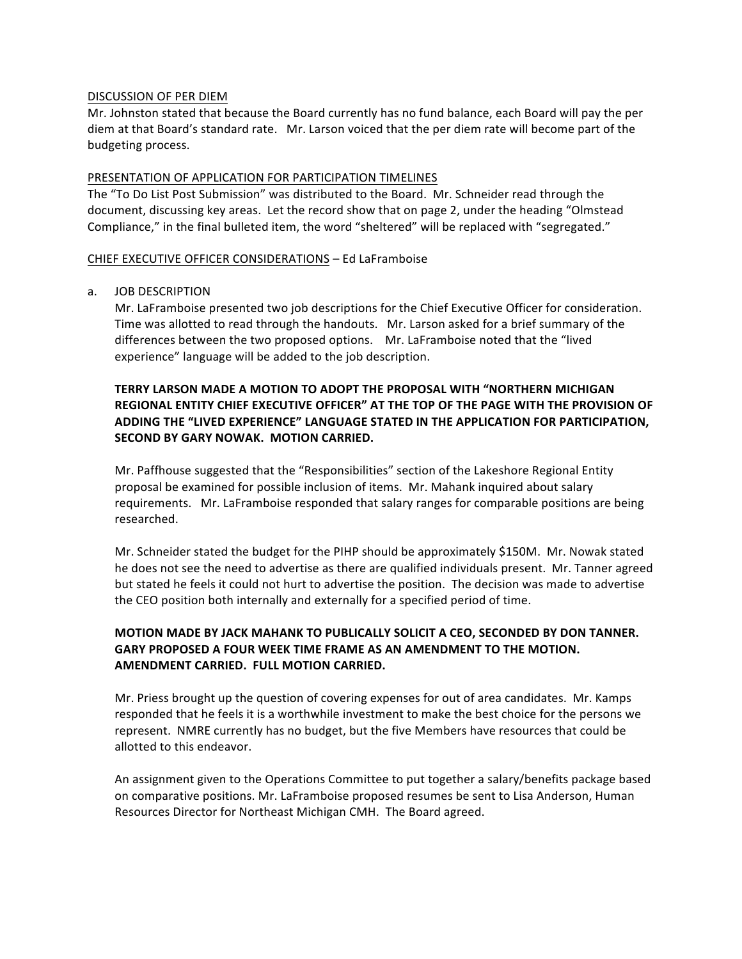### DISCUSSION OF PER DIEM

Mr. Johnston stated that because the Board currently has no fund balance, each Board will pay the per diem at that Board's standard rate. Mr. Larson voiced that the per diem rate will become part of the budgeting process.

## PRESENTATION OF APPLICATION FOR PARTICIPATION TIMELINES

The "To Do List Post Submission" was distributed to the Board. Mr. Schneider read through the document, discussing key areas. Let the record show that on page 2, under the heading "Olmstead" Compliance," in the final bulleted item, the word "sheltered" will be replaced with "segregated."

## CHIEF EXECUTIVE OFFICER CONSIDERATIONS - Ed LaFramboise

## a. JOB DESCRIPTION

Mr. LaFramboise presented two job descriptions for the Chief Executive Officer for consideration. Time was allotted to read through the handouts. Mr. Larson asked for a brief summary of the differences between the two proposed options. Mr. LaFramboise noted that the "lived experience" language will be added to the job description.

# **TERRY LARSON MADE A MOTION TO ADOPT THE PROPOSAL WITH "NORTHERN MICHIGAN REGIONAL ENTITY CHIEF EXECUTIVE OFFICER" AT THE TOP OF THE PAGE WITH THE PROVISION OF ADDING THE "LIVED EXPERIENCE" LANGUAGE STATED IN THE APPLICATION FOR PARTICIPATION. SECOND BY GARY NOWAK. MOTION CARRIED.**

Mr. Paffhouse suggested that the "Responsibilities" section of the Lakeshore Regional Entity proposal be examined for possible inclusion of items. Mr. Mahank inquired about salary requirements. Mr. LaFramboise responded that salary ranges for comparable positions are being researched. 

Mr. Schneider stated the budget for the PIHP should be approximately \$150M. Mr. Nowak stated he does not see the need to advertise as there are qualified individuals present. Mr. Tanner agreed but stated he feels it could not hurt to advertise the position. The decision was made to advertise the CEO position both internally and externally for a specified period of time.

# **MOTION MADE BY JACK MAHANK TO PUBLICALLY SOLICIT A CEO, SECONDED BY DON TANNER. GARY PROPOSED A FOUR WEEK TIME FRAME AS AN AMENDMENT TO THE MOTION. AMENDMENT CARRIED. FULL MOTION CARRIED.**

Mr. Priess brought up the question of covering expenses for out of area candidates. Mr. Kamps responded that he feels it is a worthwhile investment to make the best choice for the persons we represent. NMRE currently has no budget, but the five Members have resources that could be allotted to this endeavor.

An assignment given to the Operations Committee to put together a salary/benefits package based on comparative positions. Mr. LaFramboise proposed resumes be sent to Lisa Anderson, Human Resources Director for Northeast Michigan CMH. The Board agreed.